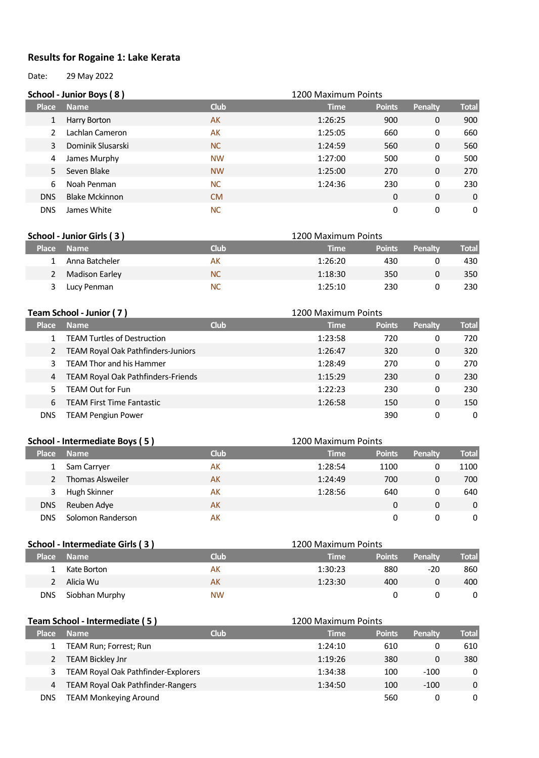## **Results for Rogaine 1: Lake Kerata**

Date: 29 May 2022

|              | School - Junior Boys (8) |             | 1200 Maximum Points |               |         |              |
|--------------|--------------------------|-------------|---------------------|---------------|---------|--------------|
| <b>Place</b> | <b>Name</b>              | <b>Club</b> | <b>Time</b>         | <b>Points</b> | Penalty | <b>Total</b> |
| 1            | Harry Borton             | AK          | 1:26:25             | 900           | 0       | 900          |
|              | Lachlan Cameron          | AK          | 1:25:05             | 660           | 0       | 660          |
| 3            | Dominik Slusarski        | <b>NC</b>   | 1:24:59             | 560           | 0       | 560          |
| 4            | James Murphy             | <b>NW</b>   | 1:27:00             | 500           | 0       | 500          |
| 5.           | Seven Blake              | <b>NW</b>   | 1:25:00             | 270           | 0       | 270          |
| 6            | Noah Penman              | <b>NC</b>   | 1:24:36             | 230           | 0       | 230          |
| <b>DNS</b>   | <b>Blake Mckinnon</b>    | CM.         |                     | 0             | 0       | 0            |
| <b>DNS</b>   | James White              | <b>NC</b>   |                     | 0             | 0       | 0            |

| School - Junior Girls (3) |                |           | 1200 Maximum Points |               |         |              |  |
|---------------------------|----------------|-----------|---------------------|---------------|---------|--------------|--|
| <b>Place</b>              | <b>Name</b>    | Club      | Time                | <b>Points</b> | Penalty | <b>Total</b> |  |
|                           | Anna Batcheler | AК        | 1:26:20             | 430           |         | 430          |  |
|                           | Madison Earley | <b>NC</b> | 1:18:30             | 350           |         | 350          |  |
|                           | Lucy Penman    | <b>NC</b> | 1:25:10             | 230           |         | 230          |  |

|              | Team School - Junior (7)                  | 1200 Maximum Points |             |               |         |              |
|--------------|-------------------------------------------|---------------------|-------------|---------------|---------|--------------|
| <b>Place</b> | <b>Name</b>                               | <b>Club</b>         | <b>Time</b> | <b>Points</b> | Penalty | <b>Total</b> |
|              | <b>TEAM Turtles of Destruction</b>        |                     | 1:23:58     | 720           | 0       | 720          |
|              | TEAM Royal Oak Pathfinders-Juniors        |                     | 1:26:47     | 320           | 0       | 320          |
|              | <b>TEAM Thor and his Hammer</b>           |                     | 1:28:49     | 270           | 0       | 270          |
| 4            | <b>TEAM Royal Oak Pathfinders-Friends</b> |                     | 1:15:29     | 230           | 0       | 230          |
|              | <b>TEAM Out for Fun</b>                   |                     | 1:22:23     | 230           | 0       | 230          |
| 6            | <b>TEAM First Time Fantastic</b>          |                     | 1:26:58     | 150           | 0       | 150          |
| DNS          | <b>TEAM Pengiun Power</b>                 |                     |             | 390           | 0       | 0            |

## **School - Intermediate Boys ( 5 )** 1200 Maximum Points

| Place      | <b>Name</b>             | <b>Club</b> | <b>Time</b> | <b>Points</b> | Penalty | <b>Total</b> |
|------------|-------------------------|-------------|-------------|---------------|---------|--------------|
|            | Sam Carryer             | АK          | 1:28:54     | 1100          |         | 1100         |
|            | <b>Thomas Alsweiler</b> | AK          | 1:24:49     | 700           | 0       | 700          |
|            | Hugh Skinner            | AK          | 1:28:56     | 640           |         | 640          |
| <b>DNS</b> | Reuben Adye             | AK          |             |               | 0       | 0            |
| DNS        | Solomon Randerson       | AK          |             |               |         | 0            |

|              | School - Intermediate Girls (3) |           | 1200 Maximum Points |               |         |              |
|--------------|---------------------------------|-----------|---------------------|---------------|---------|--------------|
| <b>Place</b> | <b>Name</b>                     | Club      | <b>Time</b>         | <b>Points</b> | Penalty | <b>Total</b> |
|              | Kate Borton                     | AK        | 1:30:23             | 880           | $-20$   | 860          |
|              | Alicia Wu                       | АK        | 1:23:30             | 400           |         | 400          |
| DNS          | Siobhan Murphy                  | <b>NW</b> |                     |               |         |              |

|              | Team School - Intermediate (5)           |             | 1200 Maximum Points |               |         |              |
|--------------|------------------------------------------|-------------|---------------------|---------------|---------|--------------|
| <b>Place</b> | <b>Name</b>                              | <b>Club</b> | <b>Time</b>         | <b>Points</b> | Penalty | <b>Total</b> |
|              | TEAM Run; Forrest; Run                   |             | 1:24:10             | 610           |         | 610          |
|              | <b>TEAM Bickley Jnr</b>                  |             | 1:19:26             | 380           | 0       | 380          |
|              | TEAM Royal Oak Pathfinder-Explorers      |             | 1:34:38             | 100           | $-100$  | 0            |
| 4            | <b>TEAM Royal Oak Pathfinder-Rangers</b> |             | 1:34:50             | 100           | $-100$  | 0            |
| DNS          | <b>TEAM Monkeying Around</b>             |             |                     | 560           |         | 0            |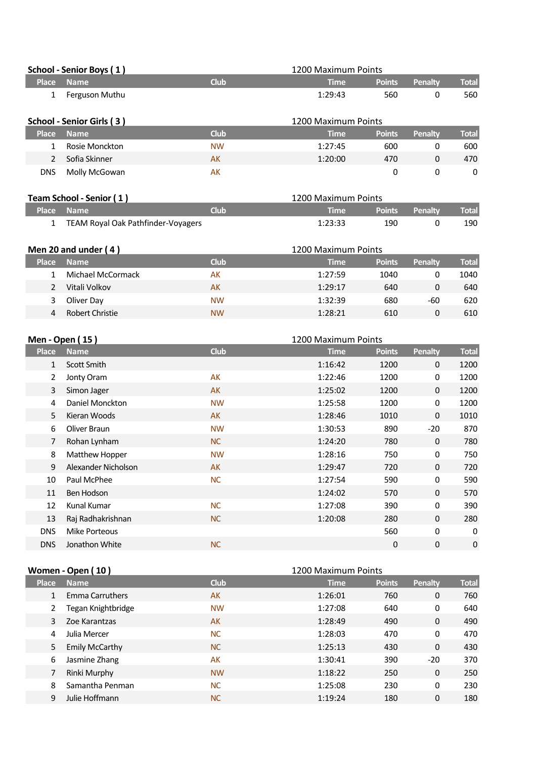|                           | School - Senior Boys (1) |             | 1200 Maximum Points |               |         |              |
|---------------------------|--------------------------|-------------|---------------------|---------------|---------|--------------|
| <b>Place</b>              | <b>Name</b>              | <b>Club</b> | <b>Time</b>         | <b>Points</b> | Penalty | <b>Total</b> |
| 1                         | Ferguson Muthu           |             | 1:29:43             | 560           | 0       | 560          |
| School - Senior Girls (3) |                          |             | 1200 Maximum Points |               |         |              |
|                           |                          |             |                     |               |         |              |
| <b>Place</b>              | <b>Name</b>              | <b>Club</b> | <b>Time</b>         | <b>Points</b> | Penalty | <b>Total</b> |
|                           | Rosie Monckton           | <b>NW</b>   | 1:27:45             | 600           | 0       | 600          |
| 2                         | Sofia Skinner            | AK          | 1:20:00             | 470           | 0       | 470          |

| Team School - Senior (1) |            |                                    | 1200 Maximum Points |     |                       |              |
|--------------------------|------------|------------------------------------|---------------------|-----|-----------------------|--------------|
|                          | Place Name | Club'                              | <b>Time</b>         |     | <b>Points</b> Penalty | <b>Total</b> |
|                          |            | TEAM Royal Oak Pathfinder-Voyagers | 1:23:33             | 190 |                       | 190          |

|              | Men 20 and under (4) |           | 1200 Maximum Points |               |         |              |
|--------------|----------------------|-----------|---------------------|---------------|---------|--------------|
| <b>Place</b> | <b>Name</b>          | Club      | Time                | <b>Points</b> | Penalty | <b>Total</b> |
|              | Michael McCormack    | AК        | 1:27:59             | 1040          |         | 1040         |
|              | Vitali Volkov        | AK        | 1:29:17             | 640           |         | 640          |
|              | Oliver Day           | <b>NW</b> | 1:32:39             | 680           | -60     | 620          |
| 4            | Robert Christie      | <b>NW</b> | 1:28:21             | 610           |         | 610          |

|              | Men - Open (15)     |             | 1200 Maximum Points |               |                |              |  |
|--------------|---------------------|-------------|---------------------|---------------|----------------|--------------|--|
| <b>Place</b> | Name                | <b>Club</b> | <b>Time</b>         | <b>Points</b> | <b>Penalty</b> | <b>Total</b> |  |
| 1            | Scott Smith         |             | 1:16:42             | 1200          | $\mathbf{0}$   | 1200         |  |
| 2            | Jonty Oram          | AK          | 1:22:46             | 1200          | 0              | 1200         |  |
| 3            | Simon Jager         | AK          | 1:25:02             | 1200          | $\mathbf 0$    | 1200         |  |
| 4            | Daniel Monckton     | <b>NW</b>   | 1:25:58             | 1200          | 0              | 1200         |  |
| 5            | Kieran Woods        | AK          | 1:28:46             | 1010          | 0              | 1010         |  |
| 6            | Oliver Braun        | <b>NW</b>   | 1:30:53             | 890           | $-20$          | 870          |  |
| 7            | Rohan Lynham        | <b>NC</b>   | 1:24:20             | 780           | 0              | 780          |  |
| 8            | Matthew Hopper      | <b>NW</b>   | 1:28:16             | 750           | 0              | 750          |  |
| 9            | Alexander Nicholson | AK          | 1:29:47             | 720           | 0              | 720          |  |
| 10           | Paul McPhee         | <b>NC</b>   | 1:27:54             | 590           | 0              | 590          |  |
| 11           | Ben Hodson          |             | 1:24:02             | 570           | $\Omega$       | 570          |  |
| 12           | Kunal Kumar         | <b>NC</b>   | 1:27:08             | 390           | 0              | 390          |  |
| 13           | Raj Radhakrishnan   | <b>NC</b>   | 1:20:08             | 280           | 0              | 280          |  |
| <b>DNS</b>   | Mike Porteous       |             |                     | 560           | 0              | 0            |  |
| <b>DNS</b>   | Jonathon White      | <b>NC</b>   |                     | 0             | $\mathbf 0$    | 0            |  |
|              |                     |             |                     |               |                |              |  |

|              | Women - Open (10)      | 1200 Maximum Points |             |               |          |              |
|--------------|------------------------|---------------------|-------------|---------------|----------|--------------|
| <b>Place</b> | <b>Name</b>            | <b>Club</b>         | <b>Time</b> | <b>Points</b> | Penalty  | <b>Total</b> |
| 1            | <b>Emma Carruthers</b> | AK                  | 1:26:01     | 760           | 0        | 760          |
| 2            | Tegan Knightbridge     | <b>NW</b>           | 1:27:08     | 640           | 0        | 640          |
| 3            | Zoe Karantzas          | <b>AK</b>           | 1:28:49     | 490           | 0        | 490          |
| 4            | Julia Mercer           | <b>NC</b>           | 1:28:03     | 470           | 0        | 470          |
| 5            | <b>Emily McCarthy</b>  | <b>NC</b>           | 1:25:13     | 430           | 0        | 430          |
| 6            | Jasmine Zhang          | AK                  | 1:30:41     | 390           | $-20$    | 370          |
| 7            | Rinki Murphy           | <b>NW</b>           | 1:18:22     | 250           | $\Omega$ | 250          |
| 8            | Samantha Penman        | <b>NC</b>           | 1:25:08     | 230           | 0        | 230          |
| 9            | Julie Hoffmann         | <b>NC</b>           | 1:19:24     | 180           | 0        | 180          |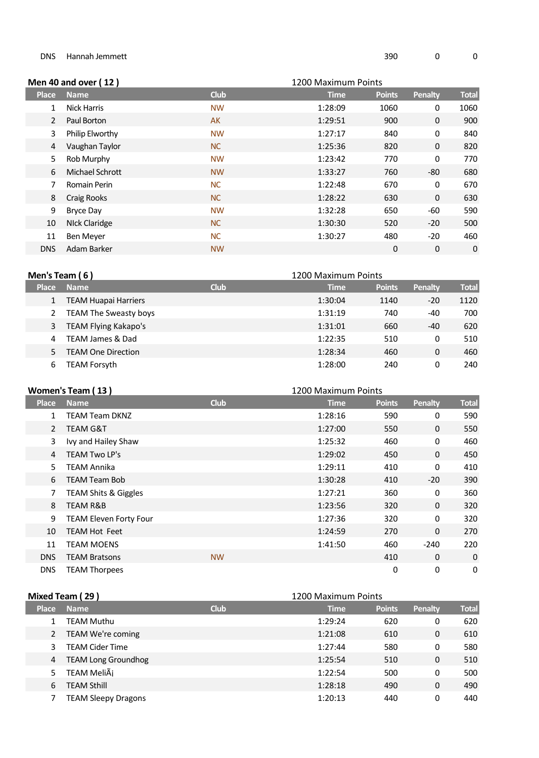## DNS Hannah Jemmett and the set of the set of the set of the set of the set of the set of the set of the set of the set of the set of the set of the set of the set of the set of the set of the set of the set of the set of t

|              | Men 40 and over (12) |             | 1200 Maximum Points |               |                |              |
|--------------|----------------------|-------------|---------------------|---------------|----------------|--------------|
| <b>Place</b> | <b>Name</b>          | <b>Club</b> | <b>Time</b>         | <b>Points</b> | <b>Penalty</b> | <b>Total</b> |
|              | <b>Nick Harris</b>   | <b>NW</b>   | 1:28:09             | 1060          | 0              | 1060         |
| 2            | Paul Borton          | <b>AK</b>   | 1:29:51             | 900           | 0              | 900          |
| 3            | Philip Elworthy      | <b>NW</b>   | 1:27:17             | 840           | 0              | 840          |
| 4            | Vaughan Taylor       | <b>NC</b>   | 1:25:36             | 820           | 0              | 820          |
| 5            | Rob Murphy           | <b>NW</b>   | 1:23:42             | 770           | 0              | 770          |
| 6            | Michael Schrott      | <b>NW</b>   | 1:33:27             | 760           | -80            | 680          |
| 7            | Romain Perin         | <b>NC</b>   | 1:22:48             | 670           | 0              | 670          |
| 8            | <b>Craig Rooks</b>   | <b>NC</b>   | 1:28:22             | 630           | 0              | 630          |
| 9            | Bryce Day            | <b>NW</b>   | 1:32:28             | 650           | -60            | 590          |
| 10           | <b>NIck Claridge</b> | <b>NC</b>   | 1:30:30             | 520           | $-20$          | 500          |
| 11           | Ben Meyer            | <b>NC</b>   | 1:30:27             | 480           | $-20$          | 460          |
| <b>DNS</b>   | Adam Barker          | <b>NW</b>   |                     | 0             | 0              | 0            |

| Men's Team (6)<br>1200 Maximum Points |                              |             |             |               |         |              |
|---------------------------------------|------------------------------|-------------|-------------|---------------|---------|--------------|
| <b>Place</b>                          | <b>Name</b>                  | <b>Club</b> | <b>Time</b> | <b>Points</b> | Penalty | <b>Total</b> |
|                                       | <b>TEAM Huapai Harriers</b>  |             | 1:30:04     | 1140          | $-20$   | 1120         |
|                                       | <b>TEAM The Sweasty boys</b> |             | 1:31:19     | 740           | -40     | 700          |
| 3                                     | <b>TEAM Flying Kakapo's</b>  |             | 1:31:01     | 660           | -40     | 620          |
| 4                                     | TEAM James & Dad             |             | 1:22:35     | 510           | 0       | 510          |
|                                       | <b>TEAM One Direction</b>    |             | 1:28:34     | 460           | 0       | 460          |
| 6                                     | TEAM Forsyth                 |             | 1:28:00     | 240           |         | 240          |

|                | Women's Team (13)               |             | 1200 Maximum Points |               |                |              |
|----------------|---------------------------------|-------------|---------------------|---------------|----------------|--------------|
| <b>Place</b>   | <b>Name</b>                     | <b>Club</b> | <b>Time</b>         | <b>Points</b> | <b>Penalty</b> | <b>Total</b> |
| 1              | <b>TEAM Team DKNZ</b>           |             | 1:28:16             | 590           | 0              | 590          |
| $\overline{2}$ | TEAM G&T                        |             | 1:27:00             | 550           | 0              | 550          |
| 3              | Ivy and Hailey Shaw             |             | 1:25:32             | 460           | 0              | 460          |
| 4              | TEAM Two LP's                   |             | 1:29:02             | 450           | 0              | 450          |
| 5              | TEAM Annika                     |             | 1:29:11             | 410           | 0              | 410          |
| 6              | <b>TEAM Team Bob</b>            |             | 1:30:28             | 410           | $-20$          | 390          |
| 7              | <b>TEAM Shits &amp; Giggles</b> |             | 1:27:21             | 360           | 0              | 360          |
| 8              | <b>TEAM R&amp;B</b>             |             | 1:23:56             | 320           | 0              | 320          |
| 9              | <b>TEAM Eleven Forty Four</b>   |             | 1:27:36             | 320           | 0              | 320          |
| 10             | <b>TEAM Hot Feet</b>            |             | 1:24:59             | 270           | 0              | 270          |
| 11             | <b>TEAM MOENS</b>               |             | 1:41:50             | 460           | $-240$         | 220          |
| DNS            | <b>TEAM Bratsons</b>            | <b>NW</b>   |                     | 410           | 0              | 0            |
| <b>DNS</b>     | <b>TEAM Thorpees</b>            |             |                     | 0             | 0              | 0            |

| Mixed Team (29)<br>1200 Maximum Points |                            |             |             |               |         |              |
|----------------------------------------|----------------------------|-------------|-------------|---------------|---------|--------------|
| <b>Place</b>                           | <b>Name</b>                | <b>Club</b> | <b>Time</b> | <b>Points</b> | Penalty | <b>Total</b> |
|                                        | TEAM Muthu                 |             | 1:29:24     | 620           | 0       | 620          |
|                                        | TEAM We're coming          |             | 1:21:08     | 610           | 0       | 610          |
| 3                                      | <b>TEAM Cider Time</b>     |             | 1:27:44     | 580           | 0       | 580          |
| 4                                      | <b>TEAM Long Groundhog</b> |             | 1:25:54     | 510           | 0       | 510          |
| 5.                                     | TEAM MeliÃi                |             | 1:22:54     | 500           | 0       | 500          |
| 6                                      | TEAM Sthill                |             | 1:28:18     | 490           | 0       | 490          |
|                                        | <b>TEAM Sleepy Dragons</b> |             | 1:20:13     | 440           | 0       | 440          |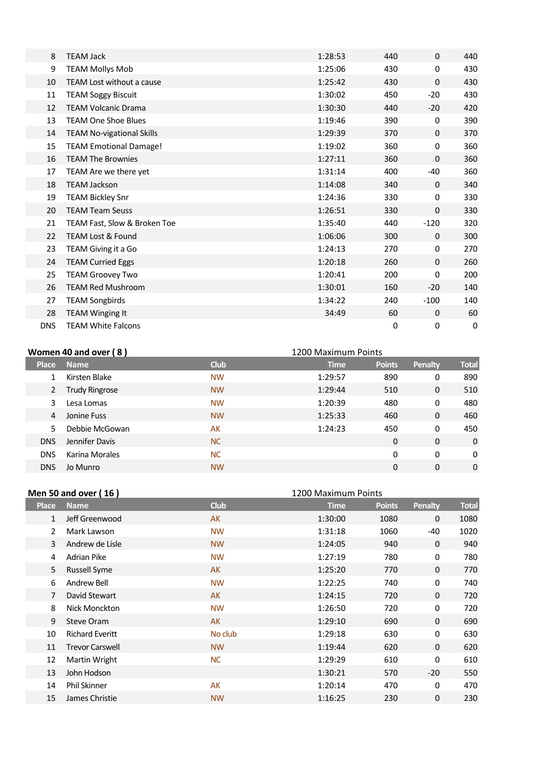| 8          | <b>TEAM Jack</b>                 | 1:28:53 | 440         | $\mathbf{0}$ | 440 |
|------------|----------------------------------|---------|-------------|--------------|-----|
| 9          | <b>TEAM Mollys Mob</b>           | 1:25:06 | 430         | 0            | 430 |
| 10         | <b>TEAM Lost without a cause</b> | 1:25:42 | 430         | 0            | 430 |
| 11         | <b>TEAM Soggy Biscuit</b>        | 1:30:02 | 450         | $-20$        | 430 |
| 12         | <b>TEAM Volcanic Drama</b>       | 1:30:30 | 440         | $-20$        | 420 |
| 13         | <b>TEAM One Shoe Blues</b>       | 1:19:46 | 390         | 0            | 390 |
| 14         | <b>TEAM No-vigational Skills</b> | 1:29:39 | 370         | $\mathbf{0}$ | 370 |
| 15         | <b>TEAM Emotional Damage!</b>    | 1:19:02 | 360         | 0            | 360 |
| 16         | <b>TEAM The Brownies</b>         | 1:27:11 | 360         | 0            | 360 |
| 17         | TEAM Are we there yet            | 1:31:14 | 400         | $-40$        | 360 |
| 18         | <b>TEAM Jackson</b>              | 1:14:08 | 340         | $\mathbf{0}$ | 340 |
| 19         | <b>TEAM Bickley Snr</b>          | 1:24:36 | 330         | 0            | 330 |
| 20         | <b>TEAM Team Seuss</b>           | 1:26:51 | 330         | $\mathbf 0$  | 330 |
| 21         | TEAM Fast, Slow & Broken Toe     | 1:35:40 | 440         | $-120$       | 320 |
| 22         | <b>TEAM Lost &amp; Found</b>     | 1:06:06 | 300         | $\mathbf{0}$ | 300 |
| 23         | TEAM Giving it a Go              | 1:24:13 | 270         | 0            | 270 |
| 24         | <b>TEAM Curried Eggs</b>         | 1:20:18 | 260         | $\mathbf{0}$ | 260 |
| 25         | <b>TEAM Groovey Two</b>          | 1:20:41 | 200         | 0            | 200 |
| 26         | <b>TEAM Red Mushroom</b>         | 1:30:01 | 160         | $-20$        | 140 |
| 27         | <b>TEAM Songbirds</b>            | 1:34:22 | 240         | $-100$       | 140 |
| 28         | <b>TEAM Winging It</b>           | 34:49   | 60          | 0            | 60  |
| <b>DNS</b> | <b>TEAM White Falcons</b>        |         | $\mathbf 0$ | 0            | 0   |

| Women 40 and over (8)<br>1200 Maximum Points |                       |             |             |               |                |              |
|----------------------------------------------|-----------------------|-------------|-------------|---------------|----------------|--------------|
| <b>Place</b>                                 | <b>Name</b>           | <b>Club</b> | <b>Time</b> | <b>Points</b> | <b>Penalty</b> | <b>Total</b> |
|                                              | Kirsten Blake         | <b>NW</b>   | 1:29:57     | 890           | 0              | 890          |
| 2                                            | <b>Trudy Ringrose</b> | <b>NW</b>   | 1:29:44     | 510           | 0              | 510          |
| 3                                            | Lesa Lomas            | <b>NW</b>   | 1:20:39     | 480           | 0              | 480          |
| 4                                            | Jonine Fuss           | <b>NW</b>   | 1:25:33     | 460           | 0              | 460          |
| 5                                            | Debbie McGowan        | AK          | 1:24:23     | 450           | 0              | 450          |
| <b>DNS</b>                                   | Jennifer Davis        | <b>NC</b>   |             | 0             | 0              | 0            |
| <b>DNS</b>                                   | Karina Morales        | <b>NC</b>   |             | 0             | 0              | 0            |
| <b>DNS</b>                                   | Jo Munro              | <b>NW</b>   |             | 0             | 0              | 0            |

|              | Men 50 and over (16)<br>1200 Maximum Points |             |             |               |                |              |
|--------------|---------------------------------------------|-------------|-------------|---------------|----------------|--------------|
| <b>Place</b> | <b>Name</b>                                 | <b>Club</b> | <b>Time</b> | <b>Points</b> | <b>Penalty</b> | <b>Total</b> |
| 1            | Jeff Greenwood                              | AK          | 1:30:00     | 1080          | 0              | 1080         |
| 2            | Mark Lawson                                 | <b>NW</b>   | 1:31:18     | 1060          | -40            | 1020         |
| 3            | Andrew de Lisle                             | <b>NW</b>   | 1:24:05     | 940           | 0              | 940          |
| 4            | Adrian Pike                                 | <b>NW</b>   | 1:27:19     | 780           | 0              | 780          |
| 5            | <b>Russell Syme</b>                         | AK          | 1:25:20     | 770           | 0              | 770          |
| 6            | Andrew Bell                                 | <b>NW</b>   | 1:22:25     | 740           | 0              | 740          |
| 7            | David Stewart                               | AK          | 1:24:15     | 720           | $\mathbf 0$    | 720          |
| 8            | Nick Monckton                               | <b>NW</b>   | 1:26:50     | 720           | 0              | 720          |
| 9            | Steve Oram                                  | AK          | 1:29:10     | 690           | $\mathbf{0}$   | 690          |
| 10           | <b>Richard Everitt</b>                      | No club     | 1:29:18     | 630           | $\Omega$       | 630          |
| 11           | <b>Trevor Carswell</b>                      | <b>NW</b>   | 1:19:44     | 620           | $\mathbf{0}$   | 620          |
| 12           | Martin Wright                               | <b>NC</b>   | 1:29:29     | 610           | 0              | 610          |
| 13           | John Hodson                                 |             | 1:30:21     | 570           | $-20$          | 550          |
| 14           | <b>Phil Skinner</b>                         | AK          | 1:20:14     | 470           | 0              | 470          |
| 15           | James Christie                              | <b>NW</b>   | 1:16:25     | 230           | 0              | 230          |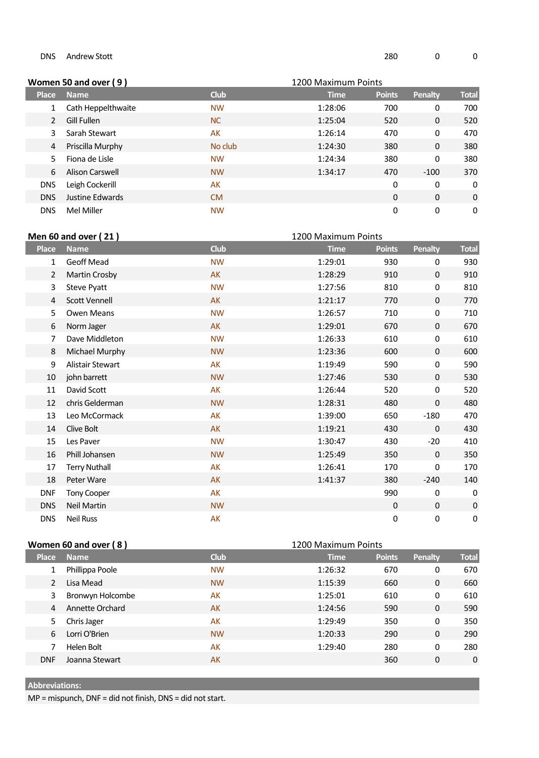|              | Women 50 and over (9)  | 1200 Maximum Points |             |               |         |              |
|--------------|------------------------|---------------------|-------------|---------------|---------|--------------|
| <b>Place</b> | <b>Name</b>            | <b>Club</b>         | <b>Time</b> | <b>Points</b> | Penalty | <b>Total</b> |
|              | Cath Heppelthwaite     | <b>NW</b>           | 1:28:06     | 700           | 0       | 700          |
|              | Gill Fullen            | <b>NC</b>           | 1:25:04     | 520           | 0       | 520          |
| 3            | Sarah Stewart          | AK                  | 1:26:14     | 470           | 0       | 470          |
| 4            | Priscilla Murphy       | No club             | 1:24:30     | 380           | 0       | 380          |
| 5.           | Fiona de Lisle         | <b>NW</b>           | 1:24:34     | 380           | 0       | 380          |
| 6            | <b>Alison Carswell</b> | <b>NW</b>           | 1:34:17     | 470           | $-100$  | 370          |
| <b>DNS</b>   | Leigh Cockerill        | AK                  |             | 0             | 0       | 0            |
| <b>DNS</b>   | Justine Edwards        | <b>CM</b>           |             | $\Omega$      | 0       | 0            |
| <b>DNS</b>   | Mel Miller             | <b>NW</b>           |             | 0             | 0       | 0            |

| <b>Men 60 and over (21)</b><br>1200 Maximum Points |                      |             |             |               |                |              |
|----------------------------------------------------|----------------------|-------------|-------------|---------------|----------------|--------------|
| <b>Place</b>                                       | <b>Name</b>          | <b>Club</b> | <b>Time</b> | <b>Points</b> | <b>Penalty</b> | <b>Total</b> |
| 1                                                  | <b>Geoff Mead</b>    | <b>NW</b>   | 1:29:01     | 930           | 0              | 930          |
| 2                                                  | Martin Crosby        | AK          | 1:28:29     | 910           | $\mathbf{0}$   | 910          |
| 3                                                  | <b>Steve Pyatt</b>   | <b>NW</b>   | 1:27:56     | 810           | 0              | 810          |
| 4                                                  | Scott Vennell        | <b>AK</b>   | 1:21:17     | 770           | $\mathbf 0$    | 770          |
| 5                                                  | <b>Owen Means</b>    | <b>NW</b>   | 1:26:57     | 710           | 0              | 710          |
| 6                                                  | Norm Jager           | <b>AK</b>   | 1:29:01     | 670           | $\Omega$       | 670          |
| 7                                                  | Dave Middleton       | <b>NW</b>   | 1:26:33     | 610           | 0              | 610          |
| 8                                                  | Michael Murphy       | <b>NW</b>   | 1:23:36     | 600           | 0              | 600          |
| 9                                                  | Alistair Stewart     | AK          | 1:19:49     | 590           | 0              | 590          |
| 10                                                 | john barrett         | <b>NW</b>   | 1:27:46     | 530           | $\mathbf 0$    | 530          |
| 11                                                 | David Scott          | AK          | 1:26:44     | 520           | 0              | 520          |
| 12                                                 | chris Gelderman      | <b>NW</b>   | 1:28:31     | 480           | 0              | 480          |
| 13                                                 | Leo McCormack        | AK          | 1:39:00     | 650           | $-180$         | 470          |
| 14                                                 | Clive Bolt           | <b>AK</b>   | 1:19:21     | 430           | 0              | 430          |
| 15                                                 | Les Paver            | <b>NW</b>   | 1:30:47     | 430           | $-20$          | 410          |
| 16                                                 | Phill Johansen       | <b>NW</b>   | 1:25:49     | 350           | $\mathbf 0$    | 350          |
| 17                                                 | <b>Terry Nuthall</b> | AK          | 1:26:41     | 170           | 0              | 170          |
| 18                                                 | Peter Ware           | <b>AK</b>   | 1:41:37     | 380           | $-240$         | 140          |
| <b>DNF</b>                                         | <b>Tony Cooper</b>   | AK          |             | 990           | 0              | 0            |
| <b>DNS</b>                                         | <b>Neil Martin</b>   | <b>NW</b>   |             | $\pmb{0}$     | 0              | $\pmb{0}$    |
| <b>DNS</b>                                         | <b>Neil Russ</b>     | AK          |             | 0             | 0              | 0            |

|              | Women 60 and over (8) |             | 1200 Maximum Points |               |                |              |
|--------------|-----------------------|-------------|---------------------|---------------|----------------|--------------|
| <b>Place</b> | <b>Name</b>           | <b>Club</b> | <b>Time</b>         | <b>Points</b> | <b>Penalty</b> | <b>Total</b> |
|              | Phillippa Poole       | <b>NW</b>   | 1:26:32             | 670           | 0              | 670          |
| 2            | Lisa Mead             | <b>NW</b>   | 1:15:39             | 660           | 0              | 660          |
| 3            | Bronwyn Holcombe      | AK          | 1:25:01             | 610           | 0              | 610          |
| 4            | Annette Orchard       | AK          | 1:24:56             | 590           | 0              | 590          |
| 5.           | Chris Jager           | AK          | 1:29:49             | 350           | 0              | 350          |
| 6            | Lorri O'Brien         | <b>NW</b>   | 1:20:33             | 290           | 0              | 290          |
|              | Helen Bolt            | AK          | 1:29:40             | 280           | 0              | 280          |
| <b>DNF</b>   | Joanna Stewart        | AK          |                     | 360           | 0              | 0            |

## **Abbreviations:**

MP = mispunch, DNF = did not finish, DNS = did not start.